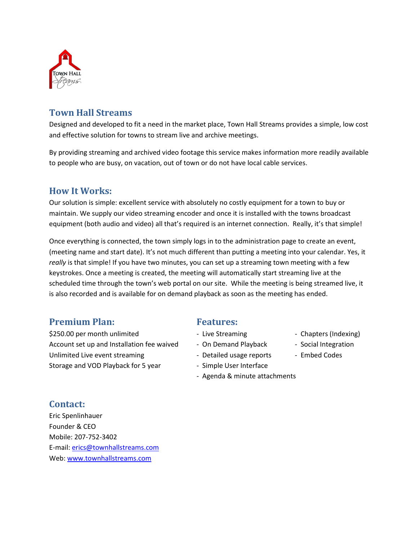

## **Town Hall Streams**

Designed and developed to fit a need in the market place, Town Hall Streams provides a simple, low cost and effective solution for towns to stream live and archive meetings.

By providing streaming and archived video footage this service makes information more readily available to people who are busy, on vacation, out of town or do not have local cable services.

## **How It Works:**

Our solution is simple: excellent service with absolutely no costly equipment for a town to buy or maintain. We supply our video streaming encoder and once it is installed with the towns broadcast equipment (both audio and video) all that's required is an internet connection. Really, it's that simple!

Once everything is connected, the town simply logs in to the administration page to create an event, (meeting name and start date). It's not much different than putting a meeting into your calendar. Yes, it *really* is that simple! If you have two minutes, you can set up a streaming town meeting with a few keystrokes. Once a meeting is created, the meeting will automatically start streaming live at the scheduled time through the town's web portal on our site. While the meeting is being streamed live, it is also recorded and is available for on demand playback as soon as the meeting has ended.

## **Premium Plan:** Features:

\$250.00 per month unlimited  $\qquad \qquad -$  Live Streaming  $\qquad \qquad -$  Chapters (Indexing) Account set up and Installation fee waived - On Demand Playback - Social Integration Unlimited Live event streaming Theorem 2012 - Detailed usage reports Theorem 2016 Codes Storage and VOD Playback for 5 year - Simple User Interface

- 
- 
- -
- Agenda & minute attachments
- 
- 
- 

### **Contact:**

Eric Spenlinhauer Founder & CEO Mobile: 207-752-3402 E-mail: [erics@townhallstreams.com](mailto:erics@townhallstreams.com) Web[: www.townhallstreams.com](http://www.townhallstreams.com/)